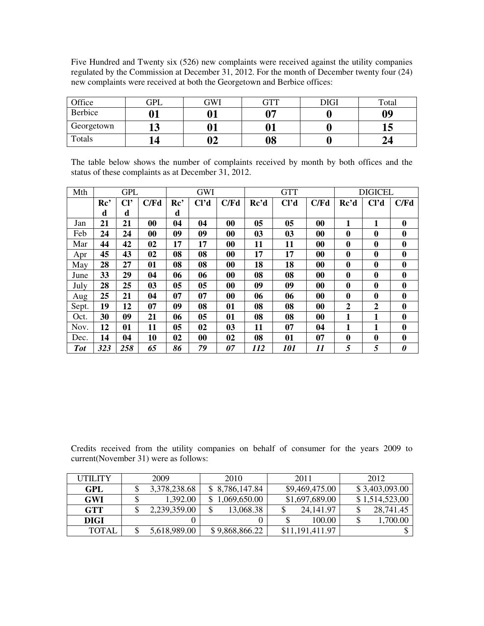Five Hundred and Twenty six (526) new complaints were received against the utility companies regulated by the Commission at December 31, 2012. For the month of December twenty four (24) new complaints were received at both the Georgetown and Berbice offices:

| Office     | GPL | GWI | GTT | DIGI | Total |
|------------|-----|-----|-----|------|-------|
| Berbice    | 01  |     | በ7  |      | 09    |
| Georgetown | ⊥⊾  |     |     |      |       |
| Totals     |     |     | 08  |      |       |

The table below shows the number of complaints received by month by both offices and the status of these complaints as at December 31, 2012.

| Mth        |                 | <b>GPL</b>      |      |                 | <b>GWI</b>        |                |                | <b>GTT</b>        |                            | <b>DIGICEL</b>   |                   |                  |
|------------|-----------------|-----------------|------|-----------------|-------------------|----------------|----------------|-------------------|----------------------------|------------------|-------------------|------------------|
|            | Re <sup>2</sup> | Cl <sup>2</sup> | C/Fd | Re <sup>2</sup> | Cl <sup>7</sup> d | C/Fd           | Re'd           | Cl <sup>7</sup> d | C/Fd                       | Rc'd             | Cl <sup>7</sup> d | C/Fd             |
|            | d               | d               |      | d               |                   |                |                |                   |                            |                  |                   |                  |
| Jan        | 21              | 21              | 00   | 04              | 04                | $\bf{00}$      | 05             | 0 <sub>5</sub>    | 00                         | 1                | 1                 | $\mathbf{0}$     |
| Feb        | 24              | 24              | 00   | 09              | 09                | 00             | 0 <sub>3</sub> | 03                | 00                         | $\boldsymbol{0}$ | $\boldsymbol{0}$  | $\boldsymbol{0}$ |
| Mar        | 44              | 42              | 02   | 17              | 17                | 00             | 11             | 11                | 00                         | $\bf{0}$         | $\boldsymbol{0}$  | $\boldsymbol{0}$ |
| Apr        | 45              | 43              | 02   | 08              | 08                | 00             | 17             | 17                | 00                         | $\boldsymbol{0}$ | $\boldsymbol{0}$  | $\boldsymbol{0}$ |
| May        | 28              | 27              | 01   | 08              | 08                | 00             | 18             | 18                | 00                         | $\mathbf{0}$     | $\bf{0}$          | $\boldsymbol{0}$ |
| June       | 33              | 29              | 04   | 06              | 06                | 00             | 08             | 08                | 00                         | $\bf{0}$         | $\boldsymbol{0}$  | $\bf{0}$         |
| July       | 28              | 25              | 03   | 0 <sub>5</sub>  | 0 <sub>5</sub>    | 00             | 09             | 09                | 00                         | $\mathbf{0}$     | $\mathbf{0}$      | $\mathbf{0}$     |
| Aug        | 25              | 21              | 04   | 07              | 07                | 00             | 06             | 06                | $\boldsymbol{00}$          | $\boldsymbol{0}$ | $\bf{0}$          | $\bf{0}$         |
| Sept.      | 19              | 12              | 07   | 09              | 08                | 01             | 08             | 08                | 00                         | $\boldsymbol{2}$ | $\boldsymbol{2}$  | $\bf{0}$         |
| Oct.       | 30              | 09              | 21   | 06              | 0 <sub>5</sub>    | 01             | 08             | 08                | 00                         | 1                | 1                 | $\mathbf{0}$     |
| Nov.       | 12              | 01              | 11   | 0 <sub>5</sub>  | 02                | 0 <sub>3</sub> | 11             | 07                | 04                         | 1                | 1                 | $\boldsymbol{0}$ |
| Dec.       | 14              | 04              | 10   | 02              | 00                | 02             | 08             | 01                | 07                         | $\boldsymbol{0}$ | $\boldsymbol{0}$  | $\bf{0}$         |
| <b>Tot</b> | 323             | 258             | 65   | 86              | 79                | 07             | 112            | 101               | $\boldsymbol{\mathit{11}}$ | 5                | 5                 | 0                |

Credits received from the utility companies on behalf of consumer for the years 2009 to current(November 31) were as follows:

| <b>UTILITY</b> | 2009         | 2010           | 2011            | 2012           |
|----------------|--------------|----------------|-----------------|----------------|
| <b>GPL</b>     | 3,378,238.68 | \$8,786,147.84 | \$9,469,475.00  | \$3,403,093.00 |
| <b>GWI</b>     | 1,392.00     | \$1,069,650.00 | \$1,697,689.00  | \$1,514,523,00 |
| <b>GTT</b>     | 2,239,359.00 | 13,068.38      | 24, 141. 97     | 28,741.45      |
| <b>DIGI</b>    |              |                | 100.00          | 1,700.00       |
| <b>TOTAL</b>   | 5,618,989.00 | \$9,868,866.22 | \$11,191,411.97 |                |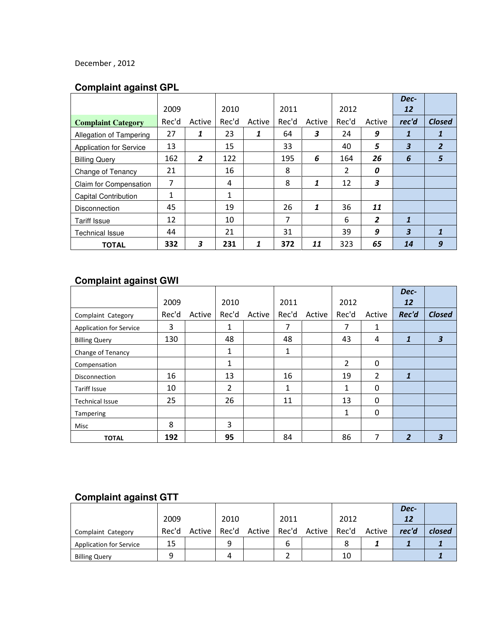#### December , 2012

## **Complaint against GPL**

|                                |       |                |       |        |       |        |       |        | Dec-                    |                |
|--------------------------------|-------|----------------|-------|--------|-------|--------|-------|--------|-------------------------|----------------|
|                                | 2009  |                | 2010  |        | 2011  |        | 2012  |        | 12                      |                |
| <b>Complaint Category</b>      | Rec'd | Active         | Rec'd | Active | Rec'd | Active | Rec'd | Active | rec'd                   | <b>Closed</b>  |
| Allegation of Tampering        | 27    | 1              | 23    | 1      | 64    | 3      | 24    | 9      | 1                       | 1              |
| <b>Application for Service</b> | 13    |                | 15    |        | 33    |        | 40    | 5      | $\overline{\mathbf{3}}$ | $\overline{2}$ |
| <b>Billing Query</b>           | 162   | $\overline{2}$ | 122   |        | 195   | 6      | 164   | 26     | 6                       | 5              |
| Change of Tenancy              | 21    |                | 16    |        | 8     |        | 2     | 0      |                         |                |
| Claim for Compensation         | 7     |                | 4     |        | 8     | 1      | 12    | 3      |                         |                |
| <b>Capital Contribution</b>    | 1     |                | 1     |        |       |        |       |        |                         |                |
| <b>Disconnection</b>           | 45    |                | 19    |        | 26    | 1      | 36    | 11     |                         |                |
| <b>Tariff Issue</b>            | 12    |                | 10    |        | 7     |        | 6     | 2      | 1                       |                |
| <b>Technical Issue</b>         | 44    |                | 21    |        | 31    |        | 39    | 9      | 3                       | $\mathbf{1}$   |
| <b>TOTAL</b>                   | 332   | 3              | 231   | 1      | 372   | 11     | 323   | 65     | 14                      | 9              |

## **Complaint against GWI**

|                                | 2009  |        | 2010           |        | 2011  |        | 2012  |        | Dec-<br>12 |               |
|--------------------------------|-------|--------|----------------|--------|-------|--------|-------|--------|------------|---------------|
| Complaint Category             | Rec'd | Active | Rec'd          | Active | Rec'd | Active | Rec'd | Active | Rec'd      | <b>Closed</b> |
| <b>Application for Service</b> | 3     |        | 1              |        | 7     |        | 7     | 1      |            |               |
| <b>Billing Query</b>           | 130   |        | 48             |        | 48    |        | 43    | 4      | 1          | 3             |
| Change of Tenancy              |       |        | 1              |        | 1     |        |       |        |            |               |
| Compensation                   |       |        | 1              |        |       |        | 2     | 0      |            |               |
| <b>Disconnection</b>           | 16    |        | 13             |        | 16    |        | 19    | 2      | 1          |               |
| Tariff Issue                   | 10    |        | $\overline{2}$ |        | 1     |        | 1     | 0      |            |               |
| <b>Technical Issue</b>         | 25    |        | 26             |        | 11    |        | 13    | 0      |            |               |
| Tampering                      |       |        |                |        |       |        | 1     | 0      |            |               |
| Misc                           | 8     |        | 3              |        |       |        |       |        |            |               |
| <b>TOTAL</b>                   | 192   |        | 95             |        | 84    |        | 86    | 7      | 2          | 3             |

## **Complaint against GTT**

|                                |       |        |       |        |       |        |       |        | Dec-  |        |
|--------------------------------|-------|--------|-------|--------|-------|--------|-------|--------|-------|--------|
|                                | 2009  |        | 2010  |        | 2011  |        | 2012  |        | 12    |        |
| Complaint Category             | Rec'd | Active | Rec'd | Active | Rec'd | Active | Rec'd | Active | rec'd | closed |
| <b>Application for Service</b> | 15    |        | 9     |        | b     |        |       |        |       |        |
| <b>Billing Query</b>           |       |        | 4     |        |       |        | 10    |        |       |        |